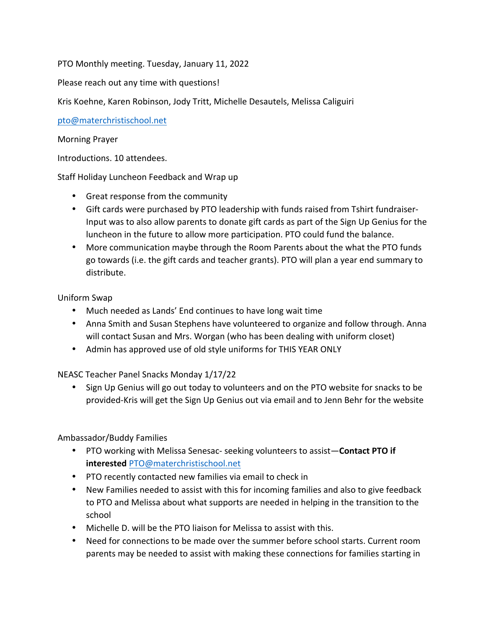PTO Monthly meeting. Tuesday, January 11, 2022

Please reach out any time with questions!

Kris Koehne, Karen Robinson, Jody Tritt, Michelle Desautels, Melissa Caliguiri

pto@materchristischool.net

### Morning Prayer

Introductions. 10 attendees.

Staff Holiday Luncheon Feedback and Wrap up

- Great response from the community
- Gift cards were purchased by PTO leadership with funds raised from Tshirt fundraiser-Input was to also allow parents to donate gift cards as part of the Sign Up Genius for the luncheon in the future to allow more participation. PTO could fund the balance.
- More communication maybe through the Room Parents about the what the PTO funds go towards (i.e. the gift cards and teacher grants). PTO will plan a year end summary to distribute.

Uniform Swap

- Much needed as Lands' End continues to have long wait time
- Anna Smith and Susan Stephens have volunteered to organize and follow through. Anna will contact Susan and Mrs. Worgan (who has been dealing with uniform closet)
- Admin has approved use of old style uniforms for THIS YEAR ONLY

NEASC Teacher Panel Snacks Monday 1/17/22

• Sign Up Genius will go out today to volunteers and on the PTO website for snacks to be provided-Kris will get the Sign Up Genius out via email and to Jenn Behr for the website

## Ambassador/Buddy Families

- PTO working with Melissa Senesac- seeking volunteers to assist-Contact PTO if **interested** PTO@materchristischool.net
- PTO recently contacted new families via email to check in
- New Families needed to assist with this for incoming families and also to give feedback to PTO and Melissa about what supports are needed in helping in the transition to the school
- Michelle D. will be the PTO liaison for Melissa to assist with this.
- Need for connections to be made over the summer before school starts. Current room parents may be needed to assist with making these connections for families starting in